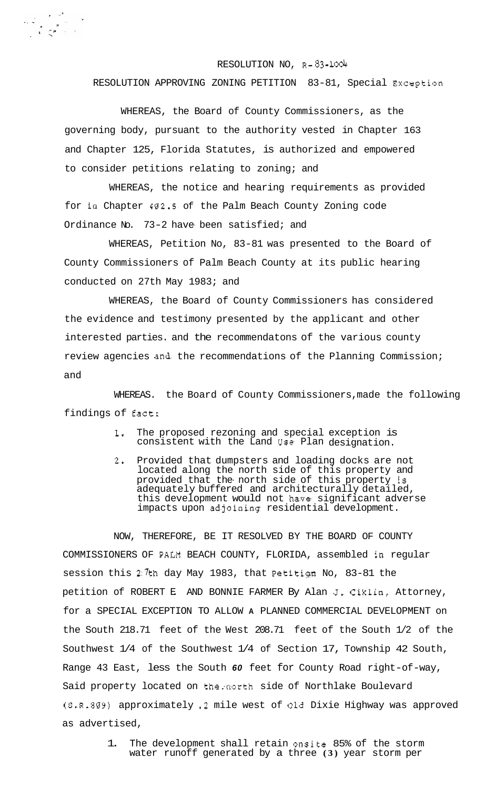## RESOLUTION NO, **R-83-1004**

RESOLUTION APPROVING ZONING PETITION 83-81, Special Exception

WHEREAS, the Board of County Commissioners, as the governing body, pursuant to the authority vested in Chapter 163 and Chapter 125, Florida Statutes, is authorized and empowered to consider petitions relating to zoning; and

WHEREAS, the notice and hearing requirements as provided for in Chapter 402-5 of the Palm Beach County Zoning code Ordinance No. 73-2 have been satisfied; and

WHEREAS, Petition No, 83-81 was presented to the Board of County Commissioners of Palm Beach County at its public hearing conducted on 27th May 1983; and

WHEREAS, the Board of County Commissioners has considered the evidence and testimony presented by the applicant and other interested parties. and the recommendatons of the various county review agencies and the recommendations of the Planning Commission; and

WHEREAS. the Board of County Commissioners, made the following findings of fact:

- **1,** The proposed rezoning and special exception is consistent with the Land Use Plan designation.
- **2,** Provided that dumpsters and loading docks are not located along the north side of this property and provided that the- north side of this property is adequately buffered and architecturally detailed, this development would not have significant adverse impacts upon adjoining residential development.

NOW, THEREFORE, BE IT RESOLVED BY THE BOARD OF COUNTY COMMISSIONERS OF **PALN** BEACH COUNTY, FLORIDA, assembled in regular session this  $2.7$ th day May 1983, that Petitign No, 83-81 the petition of ROBERT E. AND BONNIE FARMER By Alan **J,** Ciklin, Attorney, for a SPECIAL EXCEPTION TO ALLOW **A** PLANNED COMMERCIAL DEVELOPMENT on the South 218.71 feet of the West 208.71 feet of the South 1/2 of the Southwest 1/4 of the Southwest 1/4 of Section 17, Township 42 South, Range 43 East, less the South *60* feet for County Road right-of-way, Said property located on the;north side of Northlake Boulevard (S.R-809) approximately **.2** mile west of old Dixie Highway was approved as advertised,

> 1. The development shall retain onsite 85% of the storm water runoff generated by a three **(3)** year storm per